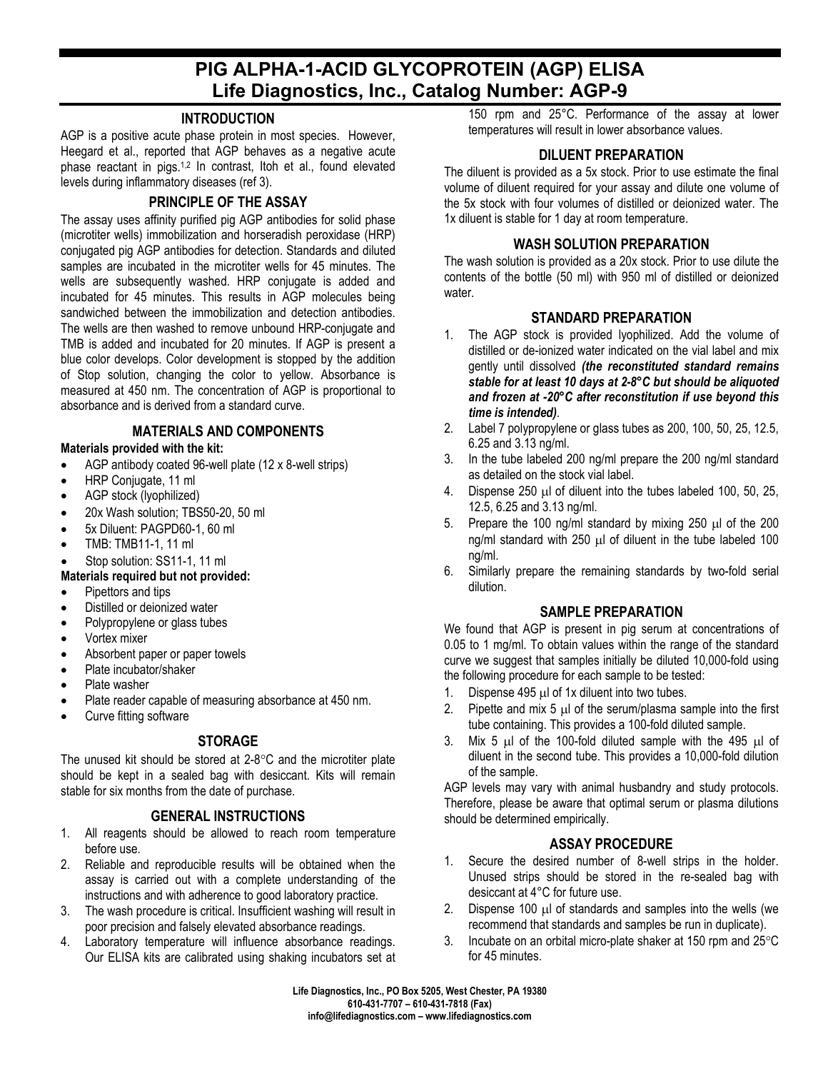# **PIG ALPHA-1-ACID GLYCOPROTEIN (AGP) ELISA Life Diagnostics, Inc., Catalog Number: AGP-9**

## **INTRODUCTION**

AGP is a positive acute phase protein in most species. However, Heegard et al., reported that AGP behaves as a negative acute phase reactant in pigs.<sup>1,2</sup> In contrast, Itoh et al., found elevated levels during inflammatory diseases (ref 3).

## **PRINCIPLE OF THE ASSAY**

The assay uses affinity purified pig AGP antibodies for solid phase (microtiter wells) immobilization and horseradish peroxidase (HRP) conjugated pig AGP antibodies for detection. Standards and diluted samples are incubated in the microtiter wells for 45 minutes. The wells are subsequently washed. HRP conjugate is added and incubated for 45 minutes. This results in AGP molecules being sandwiched between the immobilization and detection antibodies. The wells are then washed to remove unbound HRP-conjugate and TMB is added and incubated for 20 minutes. If AGP is present a blue color develops. Color development is stopped by the addition of Stop solution, changing the color to yellow. Absorbance is measured at 450 nm. The concentration of AGP is proportional to absorbance and is derived from a standard curve.

#### **MATERIALS AND COMPONENTS**

#### **Materials provided with the kit:**

- AGP antibody coated 96-well plate (12 x 8-well strips)
- HRP Conjugate, 11 ml
- AGP stock (lyophilized)
- 20x Wash solution; TBS50-20, 50 ml
- 5x Diluent: PAGPD60-1, 60 ml
- TMB: TMB11-1, 11 ml
- Stop solution: SS11-1, 11 ml
- **Materials required but not provided:**
- Pipettors and tips
- Distilled or deionized water
- Polypropylene or glass tubes
- Vortex mixer
- Absorbent paper or paper towels
- Plate incubator/shaker
- Plate washer
- Plate reader capable of measuring absorbance at 450 nm.
- Curve fitting software

# **STORAGE**

The unused kit should be stored at 2-8°C and the microtiter plate should be kept in a sealed bag with desiccant. Kits will remain stable for six months from the date of purchase.

#### **GENERAL INSTRUCTIONS**

- 1. All reagents should be allowed to reach room temperature before use.
- 2. Reliable and reproducible results will be obtained when the assay is carried out with a complete understanding of the instructions and with adherence to good laboratory practice.
- 3. The wash procedure is critical. Insufficient washing will result in poor precision and falsely elevated absorbance readings.
- 4. Laboratory temperature will influence absorbance readings. Our ELISA kits are calibrated using shaking incubators set at

150 rpm and 25°C. Performance of the assay at lower temperatures will result in lower absorbance values.

## **DILUENT PREPARATION**

The diluent is provided as a 5x stock. Prior to use estimate the final volume of diluent required for your assay and dilute one volume of the 5x stock with four volumes of distilled or deionized water. The 1x diluent is stable for 1 day at room temperature.

#### **WASH SOLUTION PREPARATION**

The wash solution is provided as a 20x stock. Prior to use dilute the contents of the bottle (50 ml) with 950 ml of distilled or deionized water.

#### **STANDARD PREPARATION**

- 1. The AGP stock is provided lyophilized. Add the volume of distilled or de-ionized water indicated on the vial label and mix gently until dissolved *(the reconstituted standard remains stable for at least 10 days at 2-8°C but should be aliquoted and frozen at -20°C after reconstitution if use beyond this time is intended)*.
- 2. Label 7 polypropylene or glass tubes as 200, 100, 50, 25, 12.5, 6.25 and 3.13 ng/ml.
- 3. In the tube labeled 200 ng/ml prepare the 200 ng/ml standard as detailed on the stock vial label.
- 4. Dispense 250 µl of diluent into the tubes labeled 100, 50, 25, 12.5, 6.25 and 3.13 ng/ml.
- 5. Prepare the 100 ng/ml standard by mixing 250 µl of the 200 ng/ml standard with  $250 \mu l$  of diluent in the tube labeled 100 ng/ml.
- 6. Similarly prepare the remaining standards by two-fold serial dilution.

# **SAMPLE PREPARATION**

We found that AGP is present in pig serum at concentrations of 0.05 to 1 mg/ml. To obtain values within the range of the standard curve we suggest that samples initially be diluted 10,000-fold using the following procedure for each sample to be tested:

- 1. Dispense 495  $\mu$ l of 1x diluent into two tubes.
- 2. Pipette and mix  $5 \mu$  of the serum/plasma sample into the first tube containing. This provides a 100-fold diluted sample.
- 3. Mix 5  $\mu$ l of the 100-fold diluted sample with the 495  $\mu$ l of diluent in the second tube. This provides a 10,000-fold dilution of the sample.

AGP levels may vary with animal husbandry and study protocols. Therefore, please be aware that optimal serum or plasma dilutions should be determined empirically.

#### **ASSAY PROCEDURE**

- 1. Secure the desired number of 8-well strips in the holder. Unused strips should be stored in the re-sealed bag with desiccant at 4°C for future use.
- 2. Dispense 100 µl of standards and samples into the wells (we recommend that standards and samples be run in duplicate).
- 3. Incubate on an orbital micro-plate shaker at 150 rpm and 25°C for 45 minutes.

**Life Diagnostics, Inc., PO Box 5205, West Chester, PA 19380 610-431-7707 – 610-431-7818 (Fax) info@lifediagnostics.com – www.lifediagnostics.com**